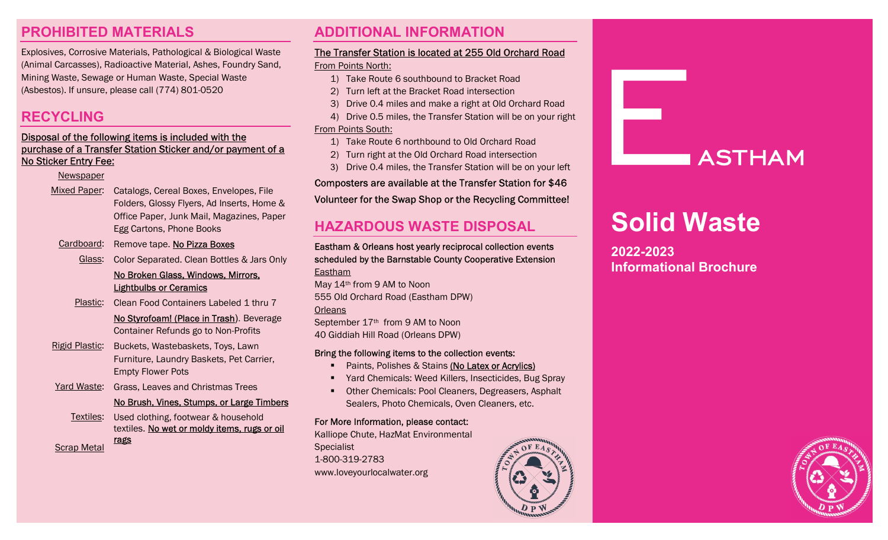# PROHIBITED MATERIALS

Explosives, Corrosive Materials, Pathological & Biological Waste (Animal Carcasses), Radioactive Material, Ashes, Foundry Sand, Mining Waste, Sewage or Human Waste, Special Waste (Asbestos). If unsure, please call (774) 801-0520

# RECYCLING

### Disposal of the following items is included with the purchase of a Transfer Station Sticker and/or payment of a No Sticker Entry Fee:

### **Newspaper**

Mixed Paper: Catalogs, Cereal Boxes, Envelopes, File Folders, Glossy Flyers, Ad Inserts, Home & Office Paper, Junk Mail, Magazines, Paper Egg Cartons, Phone Books

- Cardboard: Remove tape. No Pizza Boxes
	- Glass: Color Separated. Clean Bottles & Jars Only

### No Broken Glass, Windows, Mirrors, Lightbulbs or Ceramics

- Plastic: Clean Food Containers Labeled 1 thru 7
	- No Styrofoam! (Place in Trash). Beverage Container Refunds go to Non-Profits
- Rigid Plastic: Buckets, Wastebaskets, Toys, Lawn Furniture, Laundry Baskets, Pet Carrier, Empty Flower Pots
- Yard Waste: Grass, Leaves and Christmas Trees

### No Brush, Vines, Stumps, or Large Timbers

Textiles: Used clothing, footwear & household textiles. No wet or moldy items, rugs or oil

Scrap Metal

rags

# ADDITIONAL INFORMATION

### The Transfer Station is located at 255 Old Orchard Road

### From Points North:

- 1) Take Route 6 southbound to Bracket Road
- 2) Turn left at the Bracket Road intersection
- 3) Drive 0.4 miles and make a right at Old Orchard Road
- 4) Drive 0.5 miles, the Transfer Station will be on your right From Points South:
	- 1) Take Route 6 northbound to Old Orchard Road
	- 2) Turn right at the Old Orchard Road intersection
	- 3) Drive 0.4 miles, the Transfer Station will be on your left

### Composters are available at the Transfer Station for \$46

### Volunteer for the Swap Shop or the Recycling Committee!

# HAZARDOUS WASTE DISPOSAL

Eastham & Orleans host yearly reciprocal collection events scheduled by the Barnstable County Cooperative Extension Eastham May 14th from 9 AM to Noon

555 Old Orchard Road (Eastham DPW) **Orleans** 

September 17th from 9 AM to Noon 40 Giddiah Hill Road (Orleans DPW)

### Bring the following items to the collection events:

- Paints, Polishes & Stains (No Latex or Acrylics)
- Yard Chemicals: Weed Killers, Insecticides, Bug Spray
- **Other Chemicals: Pool Cleaners, Degreasers, Asphalt** Sealers, Photo Chemicals, Oven Cleaners, etc.

### For More Information, please contact:

Kalliope Chute, HazMat Environmental **Specialist** 1-800-319-2783 www.loveyourlocalwater.org



# **ASTHAM**

# Solid Waste

2022-2023 Informational Brochure